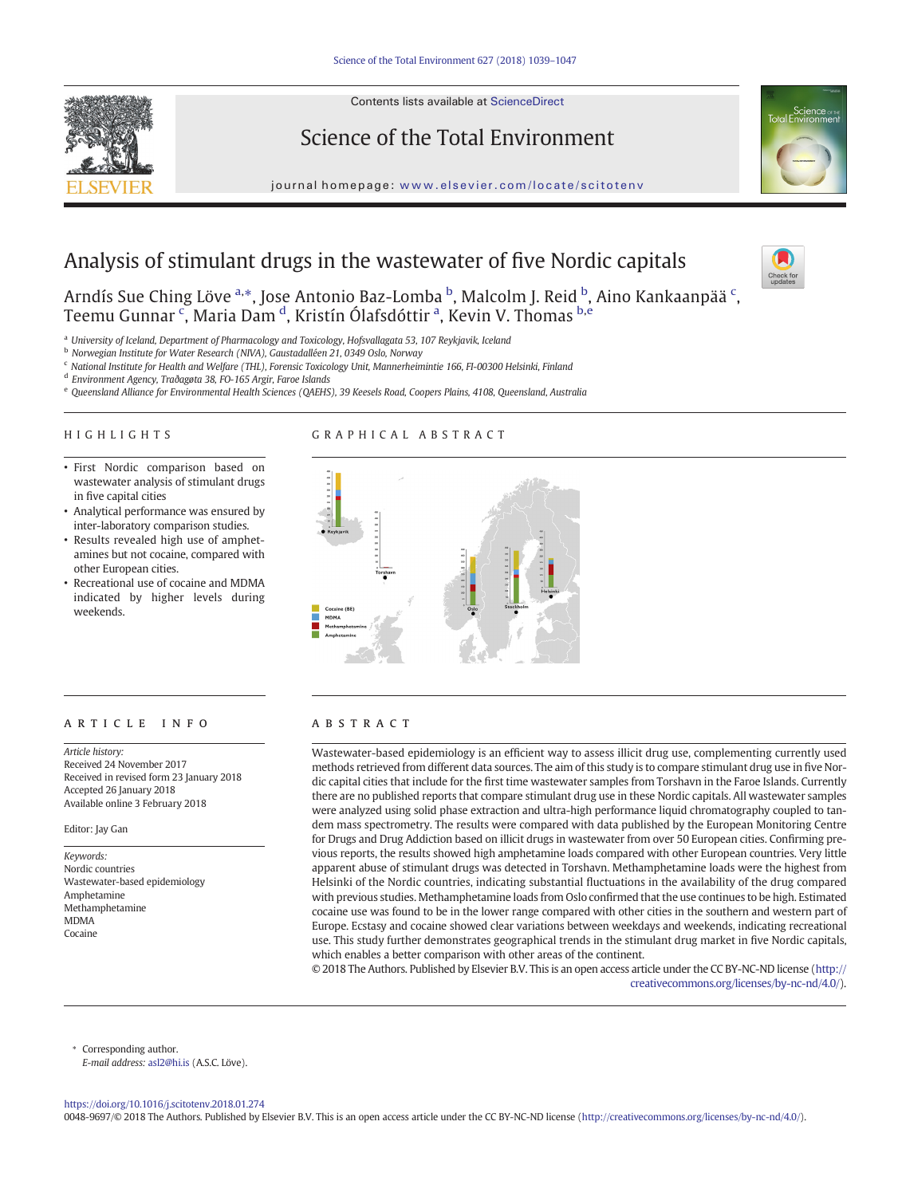Contents lists available at ScienceDirect



Science of the Total Environment

journal homepage: <www.elsevier.com/locate/scitotenv>

# Analysis of stimulant drugs in the wastewater of five Nordic capitals

Arndís Sue Ching Löve <sup>a,</sup>\*, Jose Antonio Baz-Lomba <sup>b</sup>, Malcolm J. Reid <sup>b</sup>, Aino Kankaanpää <sup>c</sup>, Teemu Gunnar <sup>c</sup>, Maria Dam <sup>d</sup>, Kristín Ólafsdóttir <sup>a</sup>, Kevin V. Thomas <sup>b,e</sup>

<sup>a</sup> University of Iceland, Department of Pharmacology and Toxicology, Hofsvallagata 53, 107 Reykjavik, Iceland

<sup>b</sup> Norwegian Institute for Water Research (NIVA), Gaustadalléen 21, 0349 Oslo, Norway

<sup>c</sup> National Institute for Health and Welfare (THL), Forensic Toxicology Unit, Mannerheimintie 166, FI-00300 Helsinki, Finland

<sup>d</sup> Environment Agency, Traðagøta 38, FO-165 Argir, Faroe Islands

<sup>e</sup> Queensland Alliance for Environmental Health Sciences (QAEHS), 39 Keesels Road, Coopers Plains, 4108, Queensland, Australia

# HIGHLIGHTS

# GRAPHICAL ABSTRACT

- First Nordic comparison based on wastewater analysis of stimulant drugs in five capital cities
- Analytical performance was ensured by inter-laboratory comparison studies.
- Results revealed high use of amphetamines but not cocaine, compared with other European cities.
- Recreational use of cocaine and MDMA indicated by higher levels during weekends.

# article info abstract

Article history: Received 24 November 2017 Received in revised form 23 January 2018 Accepted 26 January 2018 Available online 3 February 2018

#### Editor: Jay Gan

Keywords: Nordic countries Wastewater-based epidemiology Amphetamine Methamphetamine MDMA Cocaine



Wastewater-based epidemiology is an efficient way to assess illicit drug use, complementing currently used methods retrieved from different data sources. The aim of this study is to compare stimulant drug use in five Nordic capital cities that include for the first time wastewater samples from Torshavn in the Faroe Islands. Currently there are no published reports that compare stimulant drug use in these Nordic capitals. All wastewater samples were analyzed using solid phase extraction and ultra-high performance liquid chromatography coupled to tandem mass spectrometry. The results were compared with data published by the European Monitoring Centre for Drugs and Drug Addiction based on illicit drugs in wastewater from over 50 European cities. Confirming previous reports, the results showed high amphetamine loads compared with other European countries. Very little apparent abuse of stimulant drugs was detected in Torshavn. Methamphetamine loads were the highest from Helsinki of the Nordic countries, indicating substantial fluctuations in the availability of the drug compared with previous studies. Methamphetamine loads from Oslo confirmed that the use continues to be high. Estimated cocaine use was found to be in the lower range compared with other cities in the southern and western part of Europe. Ecstasy and cocaine showed clear variations between weekdays and weekends, indicating recreational use. This study further demonstrates geographical trends in the stimulant drug market in five Nordic capitals, which enables a better comparison with other areas of the continent.

© 2018 The Authors. Published by Elsevier B.V. This is an open access article under the CC BY-NC-ND license [\(http://](http://creativecommons.org/licenses/by-nc-nd/4.0/) [creativecommons.org/licenses/by-nc-nd/4.0/\)](http://creativecommons.org/licenses/by-nc-nd/4.0/).

Corresponding author. E-mail address: [asl2@hi.is](mailto:asl2@hi.is) (A.S.C. Löve).

<https://doi.org/10.1016/j.scitotenv.2018.01.274>

0048-9697/© 2018 The Authors. Published by Elsevier B.V. This is an open access article under the CC BY-NC-ND license [\(http://creativecommons.org/licenses/by-nc-nd/4.0/\)](http://creativecommons.org/licenses/by-nc-nd/4.0/).

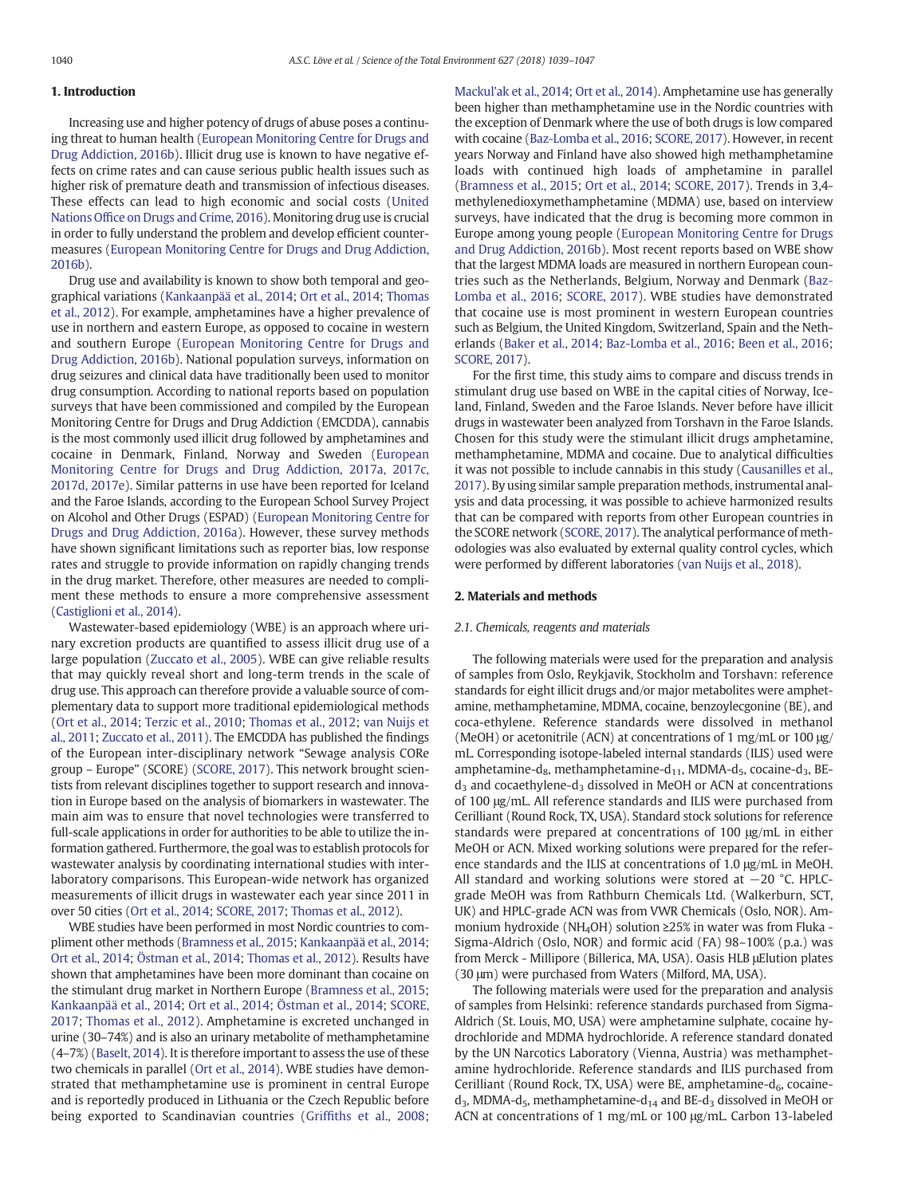# 1. Introduction

Increasing use and higher potency of drugs of abuse poses a continuing threat to human health [\(European Monitoring Centre for Drugs and](#page-8-0) [Drug Addiction, 2016b\)](#page-8-0). Illicit drug use is known to have negative effects on crime rates and can cause serious public health issues such as higher risk of premature death and transmission of infectious diseases. These effects can lead to high economic and social costs ([United](#page-8-0) Nations Offi[ce on Drugs and Crime, 2016](#page-8-0)). Monitoring drug use is crucial in order to fully understand the problem and develop efficient countermeasures [\(European Monitoring Centre for Drugs and Drug Addiction,](#page-8-0) [2016b](#page-8-0)).

Drug use and availability is known to show both temporal and geographical variations ([Kankaanpää et al., 2014](#page-8-0); [Ort et al., 2014;](#page-8-0) [Thomas](#page-8-0) [et al., 2012](#page-8-0)). For example, amphetamines have a higher prevalence of use in northern and eastern Europe, as opposed to cocaine in western and southern Europe ([European Monitoring Centre for Drugs and](#page-8-0) [Drug Addiction, 2016b\)](#page-8-0). National population surveys, information on drug seizures and clinical data have traditionally been used to monitor drug consumption. According to national reports based on population surveys that have been commissioned and compiled by the European Monitoring Centre for Drugs and Drug Addiction (EMCDDA), cannabis is the most commonly used illicit drug followed by amphetamines and cocaine in Denmark, Finland, Norway and Sweden ([European](#page-8-0) [Monitoring Centre for Drugs and Drug Addiction, 2017a, 2017c,](#page-8-0) [2017d, 2017e\)](#page-8-0). Similar patterns in use have been reported for Iceland and the Faroe Islands, according to the European School Survey Project on Alcohol and Other Drugs (ESPAD) ([European Monitoring Centre for](#page-8-0) [Drugs and Drug Addiction, 2016a\)](#page-8-0). However, these survey methods have shown significant limitations such as reporter bias, low response rates and struggle to provide information on rapidly changing trends in the drug market. Therefore, other measures are needed to compliment these methods to ensure a more comprehensive assessment [\(Castiglioni et al., 2014\)](#page-8-0).

Wastewater-based epidemiology (WBE) is an approach where urinary excretion products are quantified to assess illicit drug use of a large population ([Zuccato et al., 2005\)](#page-8-0). WBE can give reliable results that may quickly reveal short and long-term trends in the scale of drug use. This approach can therefore provide a valuable source of complementary data to support more traditional epidemiological methods [\(Ort et al., 2014](#page-8-0); [Terzic et al., 2010](#page-8-0); [Thomas et al., 2012](#page-8-0); [van Nuijs et](#page-8-0) [al., 2011](#page-8-0); [Zuccato et al., 2011](#page-8-0)). The EMCDDA has published the findings of the European inter-disciplinary network "Sewage analysis CORe group – Europe" (SCORE) ([SCORE, 2017](#page-8-0)). This network brought scientists from relevant disciplines together to support research and innovation in Europe based on the analysis of biomarkers in wastewater. The main aim was to ensure that novel technologies were transferred to full-scale applications in order for authorities to be able to utilize the information gathered. Furthermore, the goal was to establish protocols for wastewater analysis by coordinating international studies with interlaboratory comparisons. This European-wide network has organized measurements of illicit drugs in wastewater each year since 2011 in over 50 cities ([Ort et al., 2014;](#page-8-0) [SCORE, 2017;](#page-8-0) [Thomas et al., 2012\)](#page-8-0).

WBE studies have been performed in most Nordic countries to compliment other methods ([Bramness et al., 2015;](#page-8-0) [Kankaanpää et al., 2014](#page-8-0); [Ort et al., 2014](#page-8-0); [Östman et al., 2014](#page-8-0); [Thomas et al., 2012](#page-8-0)). Results have shown that amphetamines have been more dominant than cocaine on the stimulant drug market in Northern Europe [\(Bramness et al., 2015](#page-8-0); [Kankaanpää et al., 2014](#page-8-0); [Ort et al., 2014;](#page-8-0) [Östman et al., 2014](#page-8-0); [SCORE,](#page-8-0) [2017](#page-8-0); [Thomas et al., 2012](#page-8-0)). Amphetamine is excreted unchanged in urine (30–74%) and is also an urinary metabolite of methamphetamine (4–7%) ([Baselt, 2014](#page-7-0)). It is therefore important to assess the use of these two chemicals in parallel [\(Ort et al., 2014](#page-8-0)). WBE studies have demonstrated that methamphetamine use is prominent in central Europe and is reportedly produced in Lithuania or the Czech Republic before being exported to Scandinavian countries (Griffi[ths et al., 2008](#page-8-0); [Mackul'ak et al., 2014](#page-8-0); [Ort et al., 2014\)](#page-8-0). Amphetamine use has generally been higher than methamphetamine use in the Nordic countries with the exception of Denmark where the use of both drugs is low compared with cocaine ([Baz-Lomba et al., 2016](#page-7-0); [SCORE, 2017](#page-8-0)). However, in recent years Norway and Finland have also showed high methamphetamine loads with continued high loads of amphetamine in parallel [\(Bramness et al., 2015](#page-8-0); [Ort et al., 2014;](#page-8-0) [SCORE, 2017](#page-8-0)). Trends in 3,4 methylenedioxymethamphetamine (MDMA) use, based on interview surveys, have indicated that the drug is becoming more common in Europe among young people [\(European Monitoring Centre for Drugs](#page-8-0) [and Drug Addiction, 2016b\)](#page-8-0). Most recent reports based on WBE show that the largest MDMA loads are measured in northern European countries such as the Netherlands, Belgium, Norway and Denmark ([Baz-](#page-7-0)[Lomba et al., 2016](#page-7-0); [SCORE, 2017](#page-8-0)). WBE studies have demonstrated that cocaine use is most prominent in western European countries such as Belgium, the United Kingdom, Switzerland, Spain and the Netherlands [\(Baker et al., 2014](#page-7-0); [Baz-Lomba et al., 2016;](#page-7-0) [Been et al., 2016](#page-8-0); [SCORE, 2017\)](#page-8-0).

For the first time, this study aims to compare and discuss trends in stimulant drug use based on WBE in the capital cities of Norway, Iceland, Finland, Sweden and the Faroe Islands. Never before have illicit drugs in wastewater been analyzed from Torshavn in the Faroe Islands. Chosen for this study were the stimulant illicit drugs amphetamine, methamphetamine, MDMA and cocaine. Due to analytical difficulties it was not possible to include cannabis in this study [\(Causanilles et al.,](#page-8-0) [2017\)](#page-8-0). By using similar sample preparation methods, instrumental analysis and data processing, it was possible to achieve harmonized results that can be compared with reports from other European countries in the SCORE network ([SCORE, 2017](#page-8-0)). The analytical performance of methodologies was also evaluated by external quality control cycles, which were performed by different laboratories ([van Nuijs et al., 2018\)](#page-8-0).

### 2. Materials and methods

# 2.1. Chemicals, reagents and materials

The following materials were used for the preparation and analysis of samples from Oslo, Reykjavik, Stockholm and Torshavn: reference standards for eight illicit drugs and/or major metabolites were amphetamine, methamphetamine, MDMA, cocaine, benzoylecgonine (BE), and coca-ethylene. Reference standards were dissolved in methanol (MeOH) or acetonitrile (ACN) at concentrations of 1 mg/mL or 100 μg/ mL. Corresponding isotope-labeled internal standards (ILIS) used were amphetamine-d $_8$ , methamphetamine-d $_{11}$ , MDMA-d $_5$ , cocaine-d $_3$ , BE $d_3$  and cocaethylene-d<sub>3</sub> dissolved in MeOH or ACN at concentrations of 100 μg/mL. All reference standards and ILIS were purchased from Cerilliant (Round Rock, TX, USA). Standard stock solutions for reference standards were prepared at concentrations of 100 μg/mL in either MeOH or ACN. Mixed working solutions were prepared for the reference standards and the ILIS at concentrations of 1.0 μg/mL in MeOH. All standard and working solutions were stored at −20 °C. HPLCgrade MeOH was from Rathburn Chemicals Ltd. (Walkerburn, SCT, UK) and HPLC-grade ACN was from VWR Chemicals (Oslo, NOR). Ammonium hydroxide (NH4OH) solution ≥25% in water was from Fluka - Sigma-Aldrich (Oslo, NOR) and formic acid (FA) 98–100% (p.a.) was from Merck - Millipore (Billerica, MA, USA). Oasis HLB μElution plates (30 μm) were purchased from Waters (Milford, MA, USA).

The following materials were used for the preparation and analysis of samples from Helsinki: reference standards purchased from Sigma-Aldrich (St. Louis, MO, USA) were amphetamine sulphate, cocaine hydrochloride and MDMA hydrochloride. A reference standard donated by the UN Narcotics Laboratory (Vienna, Austria) was methamphetamine hydrochloride. Reference standards and ILIS purchased from Cerilliant (Round Rock, TX, USA) were BE, amphetamine- $d_6$ , cocaine $d_3$ , MDMA- $d_5$ , methamphetamine- $d_{14}$  and BE- $d_3$  dissolved in MeOH or ACN at concentrations of 1 mg/mL or 100 μg/mL. Carbon 13-labeled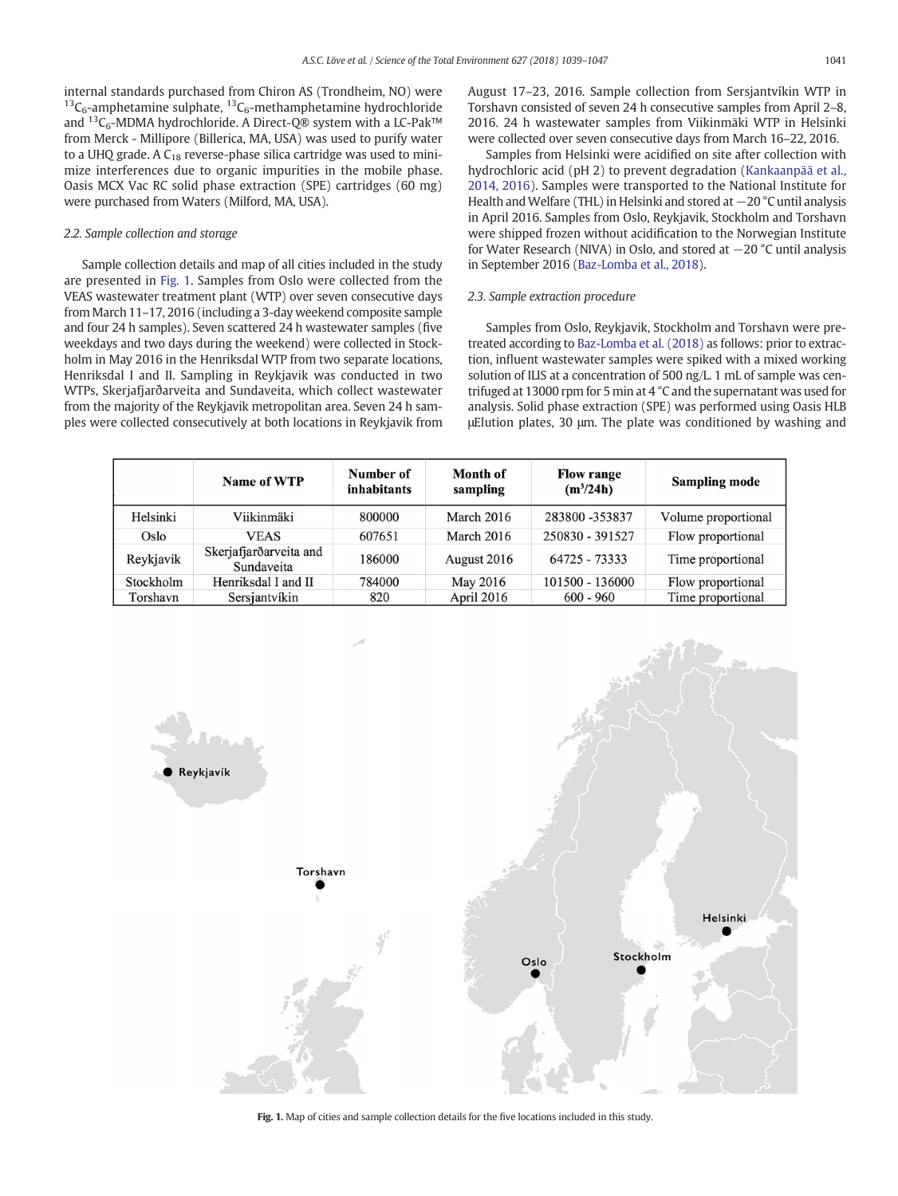internal standards purchased from Chiron AS (Trondheim, NO) were <sup>13</sup>C<sub>6</sub>-amphetamine sulphate,  ${}^{13}C_6$ -methamphetamine hydrochloride and  ${}^{13}C_6$ -MDMA hydrochloride. A Direct-Q® system with a LC-Pak™ from Merck - Millipore (Billerica, MA, USA) was used to purify water to a UHQ grade. A  $C_{18}$  reverse-phase silica cartridge was used to minimize interferences due to organic impurities in the mobile phase. Oasis MCX Vac RC solid phase extraction (SPE) cartridges (60 mg) were purchased from Waters (Milford, MA, USA).

# 2.2. Sample collection and storage

Sample collection details and map of all cities included in the study are presented in Fig. 1. Samples from Oslo were collected from the VEAS wastewater treatment plant (WTP) over seven consecutive days from March 11–17, 2016 (including a 3-day weekend composite sample and four 24 h samples). Seven scattered 24 h wastewater samples (five weekdays and two days during the weekend) were collected in Stockholm in May 2016 in the Henriksdal WTP from two separate locations, Henriksdal I and II. Sampling in Reykjavik was conducted in two WTPs, Skerjafjarðarveita and Sundaveita, which collect wastewater from the majority of the Reykjavik metropolitan area. Seven 24 h samples were collected consecutively at both locations in Reykjavik from August 17–23, 2016. Sample collection from Sersjantvíkin WTP in Torshavn consisted of seven 24 h consecutive samples from April 2–8, 2016. 24 h wastewater samples from Viikinmäki WTP in Helsinki were collected over seven consecutive days from March 16–22, 2016.

Samples from Helsinki were acidified on site after collection with hydrochloric acid (pH 2) to prevent degradation ([Kankaanpää et al.,](#page-8-0) [2014, 2016\)](#page-8-0). Samples were transported to the National Institute for Health and Welfare (THL) in Helsinki and stored at −20 °C until analysis in April 2016. Samples from Oslo, Reykjavik, Stockholm and Torshavn were shipped frozen without acidification to the Norwegian Institute for Water Research (NIVA) in Oslo, and stored at −20 °C until analysis in September 2016 [\(Baz-Lomba et al., 2018](#page-8-0)).

# 2.3. Sample extraction procedure

Samples from Oslo, Reykjavik, Stockholm and Torshavn were pretreated according to [Baz-Lomba et al. \(2018\)](#page-8-0) as follows: prior to extraction, influent wastewater samples were spiked with a mixed working solution of ILIS at a concentration of 500 ng/L. 1 mL of sample was centrifuged at 13000 rpm for 5 min at 4 °C and the supernatant was used for analysis. Solid phase extraction (SPE) was performed using Oasis HLB μElution plates, 30 μm. The plate was conditioned by washing and

|           | Name of WTP                          | Number of<br><i>inhabitants</i> | Month of<br>sampling | <b>Flow range</b><br>$(m^3/24h)$ | <b>Sampling mode</b> |
|-----------|--------------------------------------|---------------------------------|----------------------|----------------------------------|----------------------|
| Helsinki  | Viikinmäki                           | 800000                          | March 2016           | 283800 -353837                   | Volume proportional  |
| Oslo      | VEAS                                 | 607651                          | March 2016           | 250830 - 391527                  | Flow proportional    |
| Reykjavik | Skerjafjarðarveita and<br>Sundaveita | 186000                          | August 2016          | 64725 - 73333                    | Time proportional    |
| Stockholm | Henriksdal I and II                  | 784000                          | May 2016             | 101500 - 136000                  | Flow proportional    |
| Torshavn  | Sersjantvíkin                        | 820                             | April 2016           | $600 - 960$                      | Time proportional    |



Fig. 1. Map of cities and sample collection details for the five locations included in this study.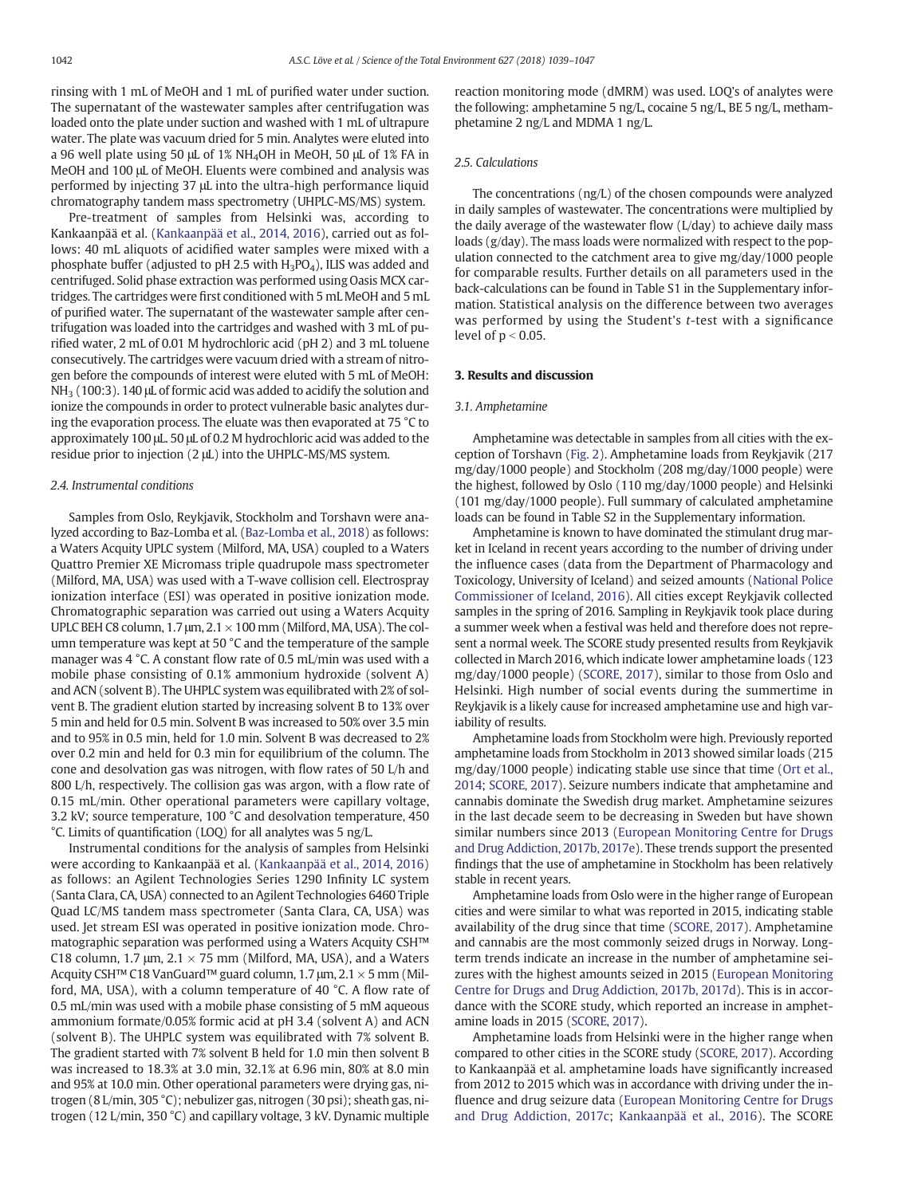rinsing with 1 mL of MeOH and 1 mL of purified water under suction. The supernatant of the wastewater samples after centrifugation was loaded onto the plate under suction and washed with 1 mL of ultrapure water. The plate was vacuum dried for 5 min. Analytes were eluted into a 96 well plate using 50 μL of 1% NH4OH in MeOH, 50 μL of 1% FA in MeOH and 100 μL of MeOH. Eluents were combined and analysis was performed by injecting 37 μL into the ultra-high performance liquid chromatography tandem mass spectrometry (UHPLC-MS/MS) system.

Pre-treatment of samples from Helsinki was, according to Kankaanpää et al. ([Kankaanpää et al., 2014, 2016\)](#page-8-0), carried out as follows: 40 mL aliquots of acidified water samples were mixed with a phosphate buffer (adjusted to pH 2.5 with  $H_3PO_4$ ), ILIS was added and centrifuged. Solid phase extraction was performed using Oasis MCX cartridges. The cartridges were first conditioned with 5 mL MeOH and 5 mL of purified water. The supernatant of the wastewater sample after centrifugation was loaded into the cartridges and washed with 3 mL of purified water, 2 mL of 0.01 M hydrochloric acid (pH 2) and 3 mL toluene consecutively. The cartridges were vacuum dried with a stream of nitrogen before the compounds of interest were eluted with 5 mL of MeOH: NH3 (100:3). 140 μL of formic acid was added to acidify the solution and ionize the compounds in order to protect vulnerable basic analytes during the evaporation process. The eluate was then evaporated at 75 °C to approximately 100 μL. 50 μL of 0.2 M hydrochloric acid was added to the residue prior to injection (2 μL) into the UHPLC-MS/MS system.

# 2.4. Instrumental conditions

Samples from Oslo, Reykjavik, Stockholm and Torshavn were analyzed according to Baz-Lomba et al. ([Baz-Lomba et al., 2018\)](#page-8-0) as follows: a Waters Acquity UPLC system (Milford, MA, USA) coupled to a Waters Quattro Premier XE Micromass triple quadrupole mass spectrometer (Milford, MA, USA) was used with a T-wave collision cell. Electrospray ionization interface (ESI) was operated in positive ionization mode. Chromatographic separation was carried out using a Waters Acquity UPLC BEH C8 column, 1.7  $\mu$ m, 2.1  $\times$  100 mm (Milford, MA, USA). The column temperature was kept at 50 °C and the temperature of the sample manager was 4 °C. A constant flow rate of 0.5 mL/min was used with a mobile phase consisting of 0.1% ammonium hydroxide (solvent A) and ACN (solvent B). The UHPLC system was equilibrated with 2% of solvent B. The gradient elution started by increasing solvent B to 13% over 5 min and held for 0.5 min. Solvent B was increased to 50% over 3.5 min and to 95% in 0.5 min, held for 1.0 min. Solvent B was decreased to 2% over 0.2 min and held for 0.3 min for equilibrium of the column. The cone and desolvation gas was nitrogen, with flow rates of 50 L/h and 800 L/h, respectively. The collision gas was argon, with a flow rate of 0.15 mL/min. Other operational parameters were capillary voltage, 3.2 kV; source temperature, 100 °C and desolvation temperature, 450 °C. Limits of quantification (LOQ) for all analytes was 5 ng/L.

Instrumental conditions for the analysis of samples from Helsinki were according to Kankaanpää et al. [\(Kankaanpää et al., 2014, 2016](#page-8-0)) as follows: an Agilent Technologies Series 1290 Infinity LC system (Santa Clara, CA, USA) connected to an Agilent Technologies 6460 Triple Quad LC/MS tandem mass spectrometer (Santa Clara, CA, USA) was used. Jet stream ESI was operated in positive ionization mode. Chromatographic separation was performed using a Waters Acquity CSH™ C18 column, 1.7  $\mu$ m, 2.1  $\times$  75 mm (Milford, MA, USA), and a Waters Acquity CSH™ C18 VanGuard™ guard column, 1.7 µm, 2.1  $\times$  5 mm (Milford, MA, USA), with a column temperature of 40 °C. A flow rate of 0.5 mL/min was used with a mobile phase consisting of 5 mM aqueous ammonium formate/0.05% formic acid at pH 3.4 (solvent A) and ACN (solvent B). The UHPLC system was equilibrated with 7% solvent B. The gradient started with 7% solvent B held for 1.0 min then solvent B was increased to 18.3% at 3.0 min, 32.1% at 6.96 min, 80% at 8.0 min and 95% at 10.0 min. Other operational parameters were drying gas, nitrogen (8 L/min, 305 °C); nebulizer gas, nitrogen (30 psi); sheath gas, nitrogen (12 L/min, 350 °C) and capillary voltage, 3 kV. Dynamic multiple

reaction monitoring mode (dMRM) was used. LOQ's of analytes were the following: amphetamine 5 ng/L, cocaine 5 ng/L, BE 5 ng/L, methamphetamine 2 ng/L and MDMA 1 ng/L.

#### 2.5. Calculations

The concentrations (ng/L) of the chosen compounds were analyzed in daily samples of wastewater. The concentrations were multiplied by the daily average of the wastewater flow (L/day) to achieve daily mass loads (g/day). The mass loads were normalized with respect to the population connected to the catchment area to give mg/day/1000 people for comparable results. Further details on all parameters used in the back-calculations can be found in Table S1 in the Supplementary information. Statistical analysis on the difference between two averages was performed by using the Student's t-test with a significance level of  $p < 0.05$ .

# 3. Results and discussion

### 3.1. Amphetamine

Amphetamine was detectable in samples from all cities with the exception of Torshavn ([Fig. 2\)](#page-4-0). Amphetamine loads from Reykjavik (217 mg/day/1000 people) and Stockholm (208 mg/day/1000 people) were the highest, followed by Oslo (110 mg/day/1000 people) and Helsinki (101 mg/day/1000 people). Full summary of calculated amphetamine loads can be found in Table S2 in the Supplementary information.

Amphetamine is known to have dominated the stimulant drug market in Iceland in recent years according to the number of driving under the influence cases (data from the Department of Pharmacology and Toxicology, University of Iceland) and seized amounts ([National Police](#page-8-0) [Commissioner of Iceland, 2016\)](#page-8-0). All cities except Reykjavik collected samples in the spring of 2016. Sampling in Reykjavik took place during a summer week when a festival was held and therefore does not represent a normal week. The SCORE study presented results from Reykjavik collected in March 2016, which indicate lower amphetamine loads (123 mg/day/1000 people) [\(SCORE, 2017\)](#page-8-0), similar to those from Oslo and Helsinki. High number of social events during the summertime in Reykjavik is a likely cause for increased amphetamine use and high variability of results.

Amphetamine loads from Stockholm were high. Previously reported amphetamine loads from Stockholm in 2013 showed similar loads (215 mg/day/1000 people) indicating stable use since that time [\(Ort et al.,](#page-8-0) [2014;](#page-8-0) [SCORE, 2017](#page-8-0)). Seizure numbers indicate that amphetamine and cannabis dominate the Swedish drug market. Amphetamine seizures in the last decade seem to be decreasing in Sweden but have shown similar numbers since 2013 [\(European Monitoring Centre for Drugs](#page-8-0) [and Drug Addiction, 2017b, 2017e](#page-8-0)). These trends support the presented findings that the use of amphetamine in Stockholm has been relatively stable in recent years.

Amphetamine loads from Oslo were in the higher range of European cities and were similar to what was reported in 2015, indicating stable availability of the drug since that time [\(SCORE, 2017](#page-8-0)). Amphetamine and cannabis are the most commonly seized drugs in Norway. Longterm trends indicate an increase in the number of amphetamine seizures with the highest amounts seized in 2015 ([European Monitoring](#page-8-0) [Centre for Drugs and Drug Addiction, 2017b, 2017d](#page-8-0)). This is in accordance with the SCORE study, which reported an increase in amphetamine loads in 2015 [\(SCORE, 2017](#page-8-0)).

Amphetamine loads from Helsinki were in the higher range when compared to other cities in the SCORE study [\(SCORE, 2017\)](#page-8-0). According to Kankaanpää et al. amphetamine loads have significantly increased from 2012 to 2015 which was in accordance with driving under the influence and drug seizure data [\(European Monitoring Centre for Drugs](#page-8-0) [and Drug Addiction, 2017c](#page-8-0); [Kankaanpää et al., 2016](#page-8-0)). The SCORE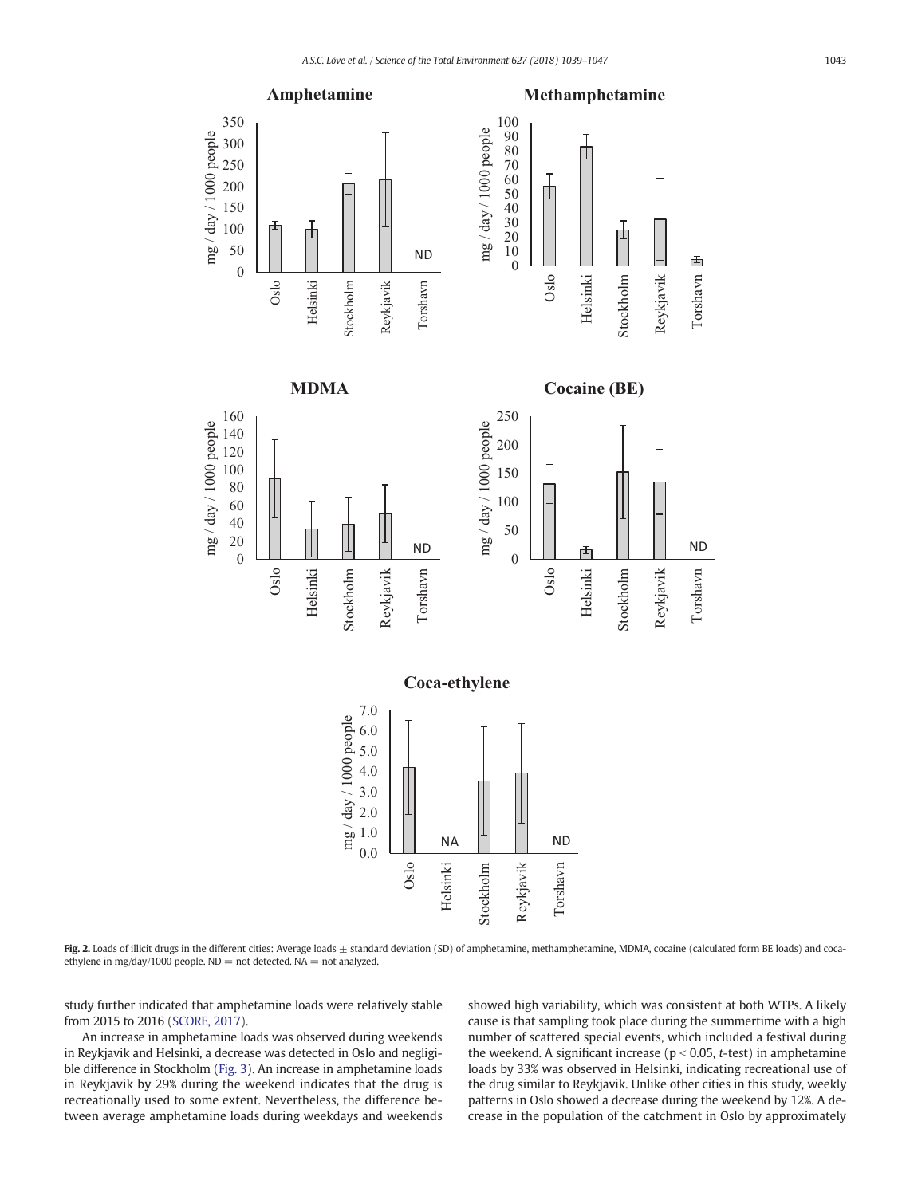<span id="page-4-0"></span>



Fig. 2. Loads of illicit drugs in the different cities: Average loads  $\pm$  standard deviation (SD) of amphetamine, methamphetamine, MDMA, cocaine (calculated form BE loads) and cocaethylene in mg/day/1000 people.  $ND =$  not detected.  $NA =$  not analyzed.

study further indicated that amphetamine loads were relatively stable from 2015 to 2016 ([SCORE, 2017\)](#page-8-0).

 $\theta$ 20 40

Oslo

Helsinki

An increase in amphetamine loads was observed during weekends in Reykjavik and Helsinki, a decrease was detected in Oslo and negligible difference in Stockholm [\(Fig. 3\)](#page-5-0). An increase in amphetamine loads in Reykjavik by 29% during the weekend indicates that the drug is recreationally used to some extent. Nevertheless, the difference between average amphetamine loads during weekdays and weekends showed high variability, which was consistent at both WTPs. A likely cause is that sampling took place during the summertime with a high number of scattered special events, which included a festival during the weekend. A significant increase ( $p < 0.05$ , t-test) in amphetamine loads by 33% was observed in Helsinki, indicating recreational use of the drug similar to Reykjavik. Unlike other cities in this study, weekly patterns in Oslo showed a decrease during the weekend by 12%. A decrease in the population of the catchment in Oslo by approximately

Reykjavik

Torshavn

Torshavn

ND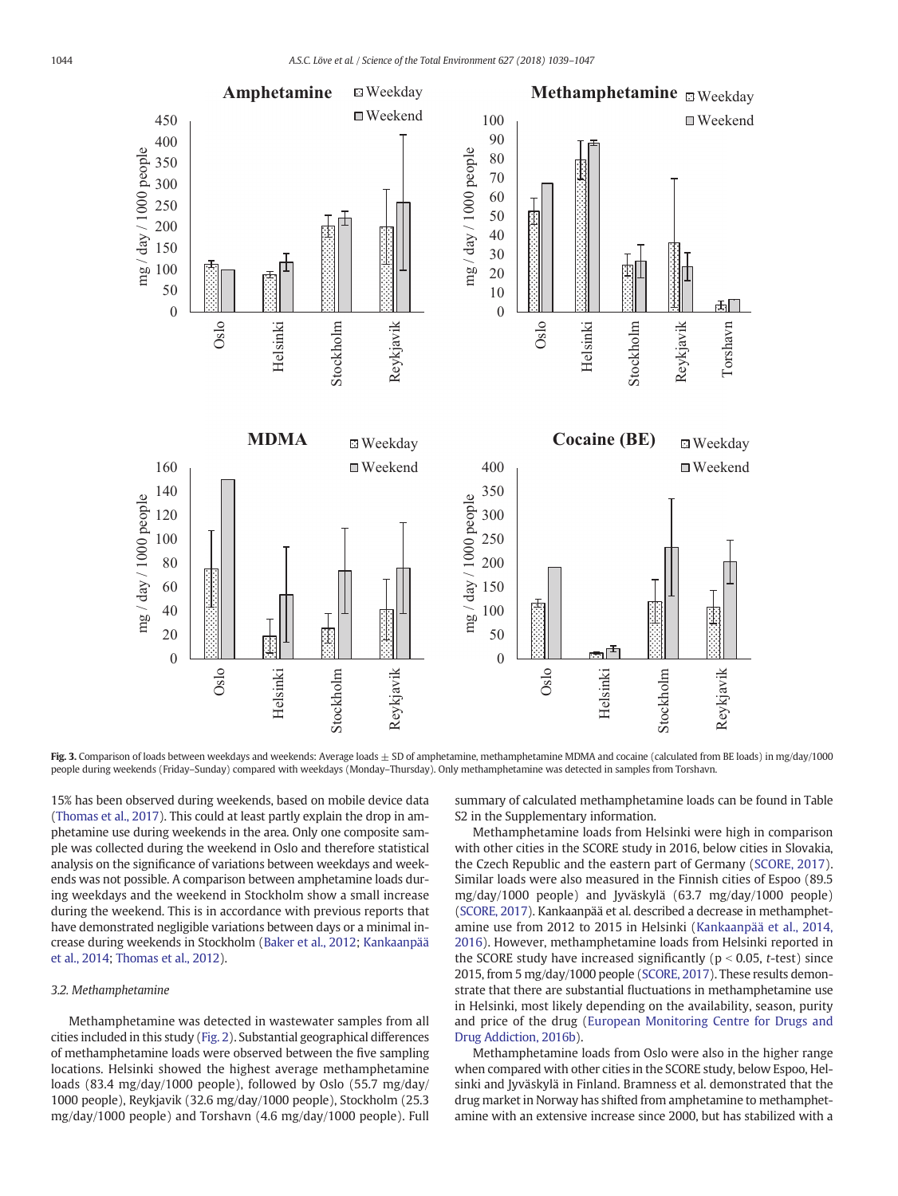<span id="page-5-0"></span>

Fig. 3. Comparison of loads between weekdays and weekends: Average loads  $\pm$  SD of amphetamine, methamphetamine MDMA and cocaine (calculated from BE loads) in mg/day/1000 people during weekends (Friday–Sunday) compared with weekdays (Monday–Thursday). Only methamphetamine was detected in samples from Torshavn.

15% has been observed during weekends, based on mobile device data [\(Thomas et al., 2017\)](#page-8-0). This could at least partly explain the drop in amphetamine use during weekends in the area. Only one composite sample was collected during the weekend in Oslo and therefore statistical analysis on the significance of variations between weekdays and weekends was not possible. A comparison between amphetamine loads during weekdays and the weekend in Stockholm show a small increase during the weekend. This is in accordance with previous reports that have demonstrated negligible variations between days or a minimal increase during weekends in Stockholm [\(Baker et al., 2012](#page-7-0); [Kankaanpää](#page-8-0) [et al., 2014](#page-8-0); [Thomas et al., 2012\)](#page-8-0).

# 3.2. Methamphetamine

Methamphetamine was detected in wastewater samples from all cities included in this study ([Fig. 2\)](#page-4-0). Substantial geographical differences of methamphetamine loads were observed between the five sampling locations. Helsinki showed the highest average methamphetamine loads (83.4 mg/day/1000 people), followed by Oslo (55.7 mg/day/ 1000 people), Reykjavik (32.6 mg/day/1000 people), Stockholm (25.3 mg/day/1000 people) and Torshavn (4.6 mg/day/1000 people). Full summary of calculated methamphetamine loads can be found in Table S2 in the Supplementary information.

Methamphetamine loads from Helsinki were high in comparison with other cities in the SCORE study in 2016, below cities in Slovakia, the Czech Republic and the eastern part of Germany ([SCORE, 2017](#page-8-0)). Similar loads were also measured in the Finnish cities of Espoo (89.5 mg/day/1000 people) and Jyväskylä (63.7 mg/day/1000 people) [\(SCORE, 2017\)](#page-8-0). Kankaanpää et al. described a decrease in methamphetamine use from 2012 to 2015 in Helsinki ([Kankaanpää et al., 2014,](#page-8-0) [2016](#page-8-0)). However, methamphetamine loads from Helsinki reported in the SCORE study have increased significantly ( $p < 0.05$ , t-test) since 2015, from 5 mg/day/1000 people [\(SCORE, 2017\)](#page-8-0). These results demonstrate that there are substantial fluctuations in methamphetamine use in Helsinki, most likely depending on the availability, season, purity and price of the drug ([European Monitoring Centre for Drugs and](#page-8-0) [Drug Addiction, 2016b\)](#page-8-0).

Methamphetamine loads from Oslo were also in the higher range when compared with other cities in the SCORE study, below Espoo, Helsinki and Jyväskylä in Finland. Bramness et al. demonstrated that the drug market in Norway has shifted from amphetamine to methamphetamine with an extensive increase since 2000, but has stabilized with a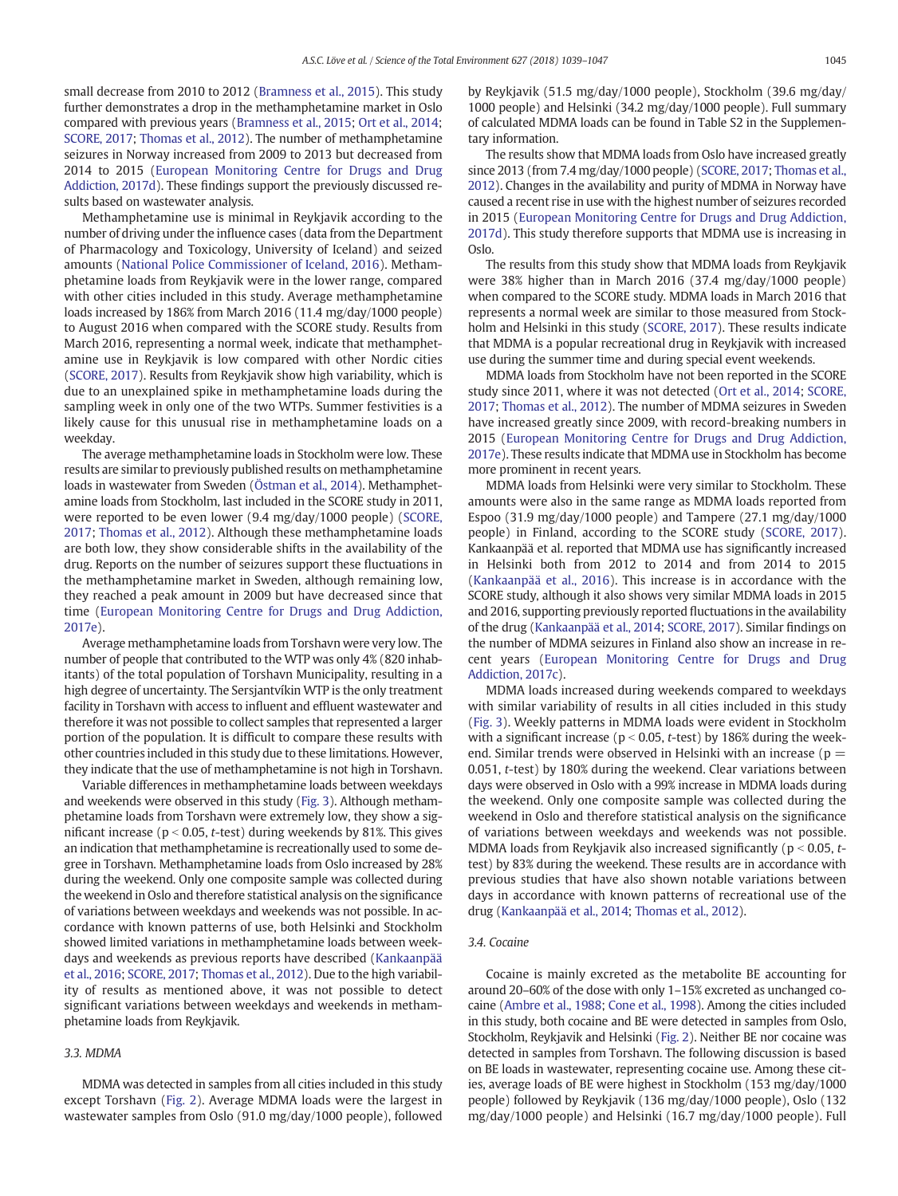small decrease from 2010 to 2012 ([Bramness et al., 2015\)](#page-8-0). This study further demonstrates a drop in the methamphetamine market in Oslo compared with previous years [\(Bramness et al., 2015](#page-8-0); [Ort et al., 2014;](#page-8-0) [SCORE, 2017](#page-8-0); [Thomas et al., 2012](#page-8-0)). The number of methamphetamine seizures in Norway increased from 2009 to 2013 but decreased from 2014 to 2015 [\(European Monitoring Centre for Drugs and Drug](#page-8-0) [Addiction, 2017d](#page-8-0)). These findings support the previously discussed results based on wastewater analysis.

Methamphetamine use is minimal in Reykjavik according to the number of driving under the influence cases (data from the Department of Pharmacology and Toxicology, University of Iceland) and seized amounts ([National Police Commissioner of Iceland, 2016\)](#page-8-0). Methamphetamine loads from Reykjavik were in the lower range, compared with other cities included in this study. Average methamphetamine loads increased by 186% from March 2016 (11.4 mg/day/1000 people) to August 2016 when compared with the SCORE study. Results from March 2016, representing a normal week, indicate that methamphetamine use in Reykjavik is low compared with other Nordic cities [\(SCORE, 2017\)](#page-8-0). Results from Reykjavik show high variability, which is due to an unexplained spike in methamphetamine loads during the sampling week in only one of the two WTPs. Summer festivities is a likely cause for this unusual rise in methamphetamine loads on a weekday.

The average methamphetamine loads in Stockholm were low. These results are similar to previously published results on methamphetamine loads in wastewater from Sweden ([Östman et al., 2014](#page-8-0)). Methamphetamine loads from Stockholm, last included in the SCORE study in 2011, were reported to be even lower (9.4 mg/day/1000 people) ([SCORE,](#page-8-0) [2017;](#page-8-0) [Thomas et al., 2012\)](#page-8-0). Although these methamphetamine loads are both low, they show considerable shifts in the availability of the drug. Reports on the number of seizures support these fluctuations in the methamphetamine market in Sweden, although remaining low, they reached a peak amount in 2009 but have decreased since that time ([European Monitoring Centre for Drugs and Drug Addiction,](#page-8-0) [2017e](#page-8-0)).

Average methamphetamine loads from Torshavn were very low. The number of people that contributed to the WTP was only 4% (820 inhabitants) of the total population of Torshavn Municipality, resulting in a high degree of uncertainty. The Sersjantvíkin WTP is the only treatment facility in Torshavn with access to influent and effluent wastewater and therefore it was not possible to collect samples that represented a larger portion of the population. It is difficult to compare these results with other countries included in this study due to these limitations. However, they indicate that the use of methamphetamine is not high in Torshavn.

Variable differences in methamphetamine loads between weekdays and weekends were observed in this study ([Fig. 3](#page-5-0)). Although methamphetamine loads from Torshavn were extremely low, they show a significant increase ( $p < 0.05$ , t-test) during weekends by 81%. This gives an indication that methamphetamine is recreationally used to some degree in Torshavn. Methamphetamine loads from Oslo increased by 28% during the weekend. Only one composite sample was collected during the weekend in Oslo and therefore statistical analysis on the significance of variations between weekdays and weekends was not possible. In accordance with known patterns of use, both Helsinki and Stockholm showed limited variations in methamphetamine loads between weekdays and weekends as previous reports have described [\(Kankaanpää](#page-8-0) et [al., 2016](#page-8-0); [SCORE, 2017](#page-8-0); [Thomas et al., 2012](#page-8-0)). Due to the high variability of results as mentioned above, it was not possible to detect significant variations between weekdays and weekends in methamphetamine loads from Reykjavik.

# 3.3. MDMA

MDMA was detected in samples from all cities included in this study except Torshavn [\(Fig. 2](#page-4-0)). Average MDMA loads were the largest in wastewater samples from Oslo (91.0 mg/day/1000 people), followed by Reykjavik (51.5 mg/day/1000 people), Stockholm (39.6 mg/day/ 1000 people) and Helsinki (34.2 mg/day/1000 people). Full summary of calculated MDMA loads can be found in Table S2 in the Supplementary information.

The results show that MDMA loads from Oslo have increased greatly since 2013 (from 7.4 mg/day/1000 people) [\(SCORE, 2017;](#page-8-0) [Thomas et al.,](#page-8-0) [2012](#page-8-0)). Changes in the availability and purity of MDMA in Norway have caused a recent rise in use with the highest number of seizures recorded in 2015 [\(European Monitoring Centre for Drugs and Drug Addiction,](#page-8-0) [2017d](#page-8-0)). This study therefore supports that MDMA use is increasing in Oslo.

The results from this study show that MDMA loads from Reykjavik were 38% higher than in March 2016 (37.4 mg/day/1000 people) when compared to the SCORE study. MDMA loads in March 2016 that represents a normal week are similar to those measured from Stockholm and Helsinki in this study ([SCORE, 2017\)](#page-8-0). These results indicate that MDMA is a popular recreational drug in Reykjavik with increased use during the summer time and during special event weekends.

MDMA loads from Stockholm have not been reported in the SCORE study since 2011, where it was not detected ([Ort et al., 2014;](#page-8-0) [SCORE,](#page-8-0) [2017](#page-8-0); [Thomas et al., 2012\)](#page-8-0). The number of MDMA seizures in Sweden have increased greatly since 2009, with record-breaking numbers in 2015 ([European Monitoring Centre for Drugs and Drug Addiction,](#page-8-0) [2017e](#page-8-0)). These results indicate that MDMA use in Stockholm has become more prominent in recent years.

MDMA loads from Helsinki were very similar to Stockholm. These amounts were also in the same range as MDMA loads reported from Espoo (31.9 mg/day/1000 people) and Tampere (27.1 mg/day/1000 people) in Finland, according to the SCORE study [\(SCORE, 2017](#page-8-0)). Kankaanpää et al. reported that MDMA use has significantly increased in Helsinki both from 2012 to 2014 and from 2014 to 2015 [\(Kankaanpää et al., 2016\)](#page-8-0). This increase is in accordance with the SCORE study, although it also shows very similar MDMA loads in 2015 and 2016, supporting previously reported fluctuations in the availability of the drug ([Kankaanpää et al., 2014](#page-8-0); [SCORE, 2017\)](#page-8-0). Similar findings on the number of MDMA seizures in Finland also show an increase in recent years [\(European Monitoring Centre for Drugs and Drug](#page-8-0) [Addiction, 2017c](#page-8-0)).

MDMA loads increased during weekends compared to weekdays with similar variability of results in all cities included in this study [\(Fig. 3](#page-5-0)). Weekly patterns in MDMA loads were evident in Stockholm with a significant increase ( $p < 0.05$ , t-test) by 186% during the weekend. Similar trends were observed in Helsinki with an increase ( $p =$ 0.051, t-test) by 180% during the weekend. Clear variations between days were observed in Oslo with a 99% increase in MDMA loads during the weekend. Only one composite sample was collected during the weekend in Oslo and therefore statistical analysis on the significance of variations between weekdays and weekends was not possible. MDMA loads from Reykjavik also increased significantly ( $p < 0.05$ , ttest) by 83% during the weekend. These results are in accordance with previous studies that have also shown notable variations between days in accordance with known patterns of recreational use of the drug ([Kankaanpää et al., 2014;](#page-8-0) [Thomas et al., 2012](#page-8-0)).

# 3.4. Cocaine

Cocaine is mainly excreted as the metabolite BE accounting for around 20–60% of the dose with only 1–15% excreted as unchanged cocaine ([Ambre et al., 1988](#page-7-0); [Cone et al., 1998\)](#page-8-0). Among the cities included in this study, both cocaine and BE were detected in samples from Oslo, Stockholm, Reykjavik and Helsinki [\(Fig. 2](#page-4-0)). Neither BE nor cocaine was detected in samples from Torshavn. The following discussion is based on BE loads in wastewater, representing cocaine use. Among these cities, average loads of BE were highest in Stockholm (153 mg/day/1000 people) followed by Reykjavik (136 mg/day/1000 people), Oslo (132 mg/day/1000 people) and Helsinki (16.7 mg/day/1000 people). Full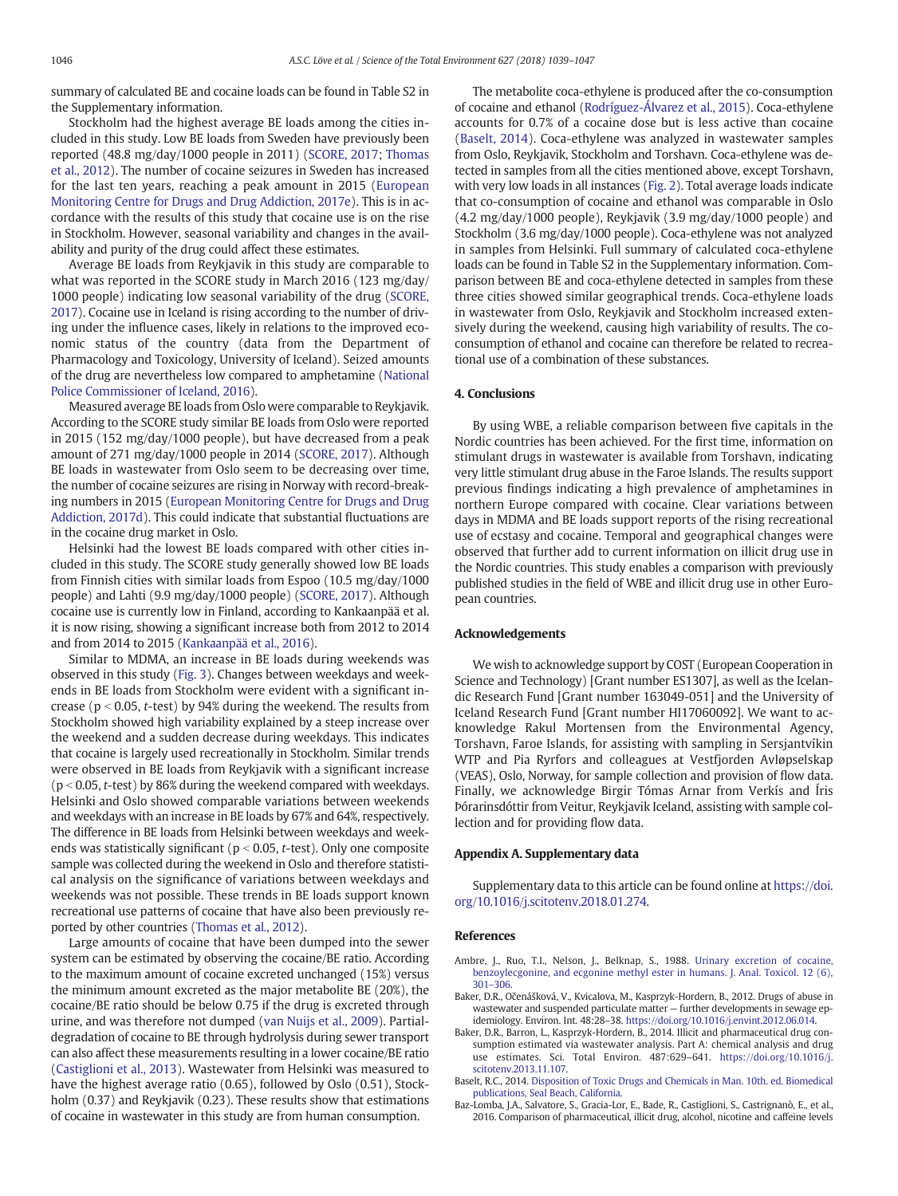<span id="page-7-0"></span>summary of calculated BE and cocaine loads can be found in Table S2 in the Supplementary information.

Stockholm had the highest average BE loads among the cities included in this study. Low BE loads from Sweden have previously been reported (48.8 mg/day/1000 people in 2011) ([SCORE, 2017](#page-8-0); [Thomas](#page-8-0) [et al., 2012](#page-8-0)). The number of cocaine seizures in Sweden has increased for the last ten years, reaching a peak amount in 2015 ([European](#page-8-0) [Monitoring Centre for Drugs and Drug Addiction, 2017e\)](#page-8-0). This is in accordance with the results of this study that cocaine use is on the rise in Stockholm. However, seasonal variability and changes in the availability and purity of the drug could affect these estimates.

Average BE loads from Reykjavik in this study are comparable to what was reported in the SCORE study in March 2016 (123 mg/day/ 1000 people) indicating low seasonal variability of the drug ([SCORE,](#page-8-0) [2017\)](#page-8-0). Cocaine use in Iceland is rising according to the number of driving under the influence cases, likely in relations to the improved economic status of the country (data from the Department of Pharmacology and Toxicology, University of Iceland). Seized amounts of the drug are nevertheless low compared to amphetamine ([National](#page-8-0) [Police Commissioner of Iceland, 2016\)](#page-8-0).

Measured average BE loads from Oslo were comparable to Reykjavik. According to the SCORE study similar BE loads from Oslo were reported in 2015 (152 mg/day/1000 people), but have decreased from a peak amount of 271 mg/day/1000 people in 2014 ([SCORE, 2017](#page-8-0)). Although BE loads in wastewater from Oslo seem to be decreasing over time, the number of cocaine seizures are rising in Norway with record-breaking numbers in 2015 [\(European Monitoring Centre for Drugs and Drug](#page-8-0) [Addiction, 2017d\)](#page-8-0). This could indicate that substantial fluctuations are in the cocaine drug market in Oslo.

Helsinki had the lowest BE loads compared with other cities included in this study. The SCORE study generally showed low BE loads from Finnish cities with similar loads from Espoo (10.5 mg/day/1000 people) and Lahti (9.9 mg/day/1000 people) ([SCORE, 2017](#page-8-0)). Although cocaine use is currently low in Finland, according to Kankaanpää et al. it is now rising, showing a significant increase both from 2012 to 2014 and from 2014 to 2015 [\(Kankaanpää et al., 2016](#page-8-0)).

Similar to MDMA, an increase in BE loads during weekends was observed in this study [\(Fig. 3\)](#page-5-0). Changes between weekdays and weekends in BE loads from Stockholm were evident with a significant increase ( $p < 0.05$ , t-test) by 94% during the weekend. The results from Stockholm showed high variability explained by a steep increase over the weekend and a sudden decrease during weekdays. This indicates that cocaine is largely used recreationally in Stockholm. Similar trends were observed in BE loads from Reykjavik with a significant increase ( $p$  < 0.05, t-test) by 86% during the weekend compared with weekdays. Helsinki and Oslo showed comparable variations between weekends and weekdays with an increase in BE loads by 67% and 64%, respectively. The difference in BE loads from Helsinki between weekdays and weekends was statistically significant ( $p < 0.05$ , t-test). Only one composite sample was collected during the weekend in Oslo and therefore statistical analysis on the significance of variations between weekdays and weekends was not possible. These trends in BE loads support known recreational use patterns of cocaine that have also been previously reported by other countries [\(Thomas et al., 2012\)](#page-8-0).

Large amounts of cocaine that have been dumped into the sewer system can be estimated by observing the cocaine/BE ratio. According to the maximum amount of cocaine excreted unchanged (15%) versus the minimum amount excreted as the major metabolite BE (20%), the cocaine/BE ratio should be below 0.75 if the drug is excreted through urine, and was therefore not dumped [\(van Nuijs et al., 2009\)](#page-8-0). Partialdegradation of cocaine to BE through hydrolysis during sewer transport can also affect these measurements resulting in a lower cocaine/BE ratio [\(Castiglioni et al., 2013](#page-8-0)). Wastewater from Helsinki was measured to have the highest average ratio (0.65), followed by Oslo (0.51), Stockholm (0.37) and Reykjavik (0.23). These results show that estimations of cocaine in wastewater in this study are from human consumption.

The metabolite coca-ethylene is produced after the co-consumption of cocaine and ethanol ([Rodríguez-Álvarez et al., 2015\)](#page-8-0). Coca-ethylene accounts for 0.7% of a cocaine dose but is less active than cocaine (Baselt, 2014). Coca-ethylene was analyzed in wastewater samples from Oslo, Reykjavik, Stockholm and Torshavn. Coca-ethylene was detected in samples from all the cities mentioned above, except Torshavn, with very low loads in all instances [\(Fig. 2](#page-4-0)). Total average loads indicate that co-consumption of cocaine and ethanol was comparable in Oslo (4.2 mg/day/1000 people), Reykjavik (3.9 mg/day/1000 people) and Stockholm (3.6 mg/day/1000 people). Coca-ethylene was not analyzed in samples from Helsinki. Full summary of calculated coca-ethylene loads can be found in Table S2 in the Supplementary information. Comparison between BE and coca-ethylene detected in samples from these three cities showed similar geographical trends. Coca-ethylene loads in wastewater from Oslo, Reykjavik and Stockholm increased extensively during the weekend, causing high variability of results. The coconsumption of ethanol and cocaine can therefore be related to recreational use of a combination of these substances.

# 4. Conclusions

By using WBE, a reliable comparison between five capitals in the Nordic countries has been achieved. For the first time, information on stimulant drugs in wastewater is available from Torshavn, indicating very little stimulant drug abuse in the Faroe Islands. The results support previous findings indicating a high prevalence of amphetamines in northern Europe compared with cocaine. Clear variations between days in MDMA and BE loads support reports of the rising recreational use of ecstasy and cocaine. Temporal and geographical changes were observed that further add to current information on illicit drug use in the Nordic countries. This study enables a comparison with previously published studies in the field of WBE and illicit drug use in other European countries.

# Acknowledgements

We wish to acknowledge support by COST (European Cooperation in Science and Technology) [Grant number ES1307], as well as the Icelandic Research Fund [Grant number 163049-051] and the University of Iceland Research Fund [Grant number HI17060092]. We want to acknowledge Rakul Mortensen from the Environmental Agency, Torshavn, Faroe Islands, for assisting with sampling in Sersjantvíkin WTP and Pia Ryrfors and colleagues at Vestfjorden Avløpselskap (VEAS), Oslo, Norway, for sample collection and provision of flow data. Finally, we acknowledge Birgir Tómas Arnar from Verkís and Íris Þórarinsdóttir from Veitur, Reykjavik Iceland, assisting with sample collection and for providing flow data.

# Appendix A. Supplementary data

Supplementary data to this article can be found online at [https://doi.](https://doi.org/10.1016/j.scitotenv.2018.01.274) [org/10.1016/j.scitotenv.2018.01.274.](https://doi.org/10.1016/j.scitotenv.2018.01.274)

#### References

- Ambre, J., Ruo, T.I., Nelson, J., Belknap, S., 1988. [Urinary excretion of cocaine,](http://refhub.elsevier.com/S0048-9697(18)30316-4/rf0005) [benzoylecgonine, and ecgonine methyl ester in humans. J. Anal. Toxicol. 12 \(6\),](http://refhub.elsevier.com/S0048-9697(18)30316-4/rf0005) 301–[306.](http://refhub.elsevier.com/S0048-9697(18)30316-4/rf0005)
- Baker, D.R., Očenášková, V., Kvicalova, M., Kasprzyk-Hordern, B., 2012. Drugs of abuse in wastewater and suspended particulate matter — further developments in sewage epidemiology. Environ. Int. 48:28–38. [https://doi.org/10.1016/j.envint.2012.06.014.](https://doi.org/10.1016/j.envint.2012.06.014)
- Baker, D.R., Barron, L., Kasprzyk-Hordern, B., 2014. Illicit and pharmaceutical drug consumption estimated via wastewater analysis. Part A: chemical analysis and drug use estimates. Sci. Total Environ. 487:629–641. [https://doi.org/10.1016/j.](https://doi.org/10.1016/j.scitotenv.2013.11.107) [scitotenv.2013.11.107](https://doi.org/10.1016/j.scitotenv.2013.11.107).
- Baselt, R.C., 2014. [Disposition of Toxic Drugs and Chemicals in Man. 10th. ed. Biomedical](http://refhub.elsevier.com/S0048-9697(18)30316-4/rf0020) [publications, Seal Beach, California.](http://refhub.elsevier.com/S0048-9697(18)30316-4/rf0020)
- Baz-Lomba, J.A., Salvatore, S., Gracia-Lor, E., Bade, R., Castiglioni, S., Castrignanò, E., et al., 2016. Comparison of pharmaceutical, illicit drug, alcohol, nicotine and caffeine levels